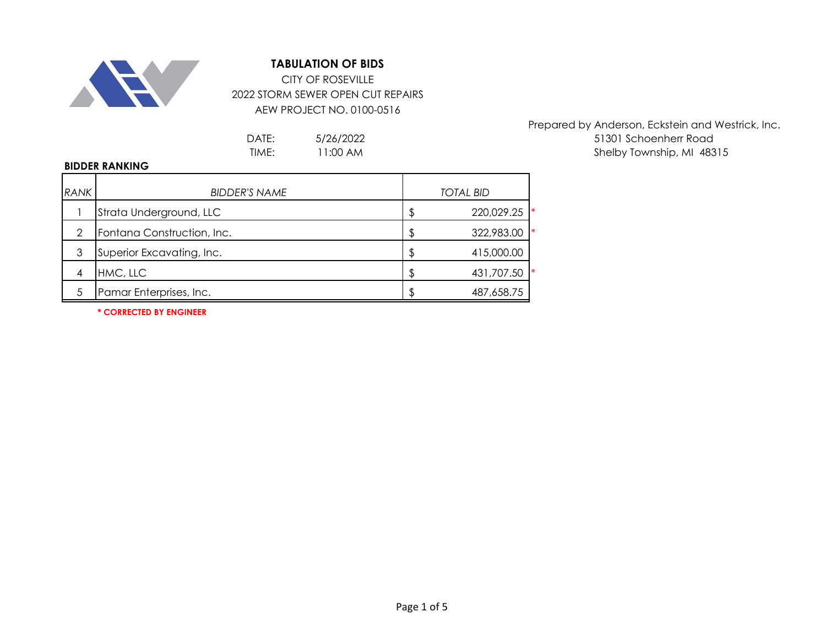

## **TABULATION OF BIDS**

CITY OF ROSEVILLE 2022 STORM SEWER OPEN CUT REPAIRS AEW PROJECT NO. 0100-0516

5/26/2022 11:00 AM

Prepared by Anderson, Eckstein and Westrick, Inc. DATE: 51301 Schoenherr Road Shelby Township, MI 48315

## **BIDDER RANKING**

| <b>RANK</b> | <b>BIDDER'S NAME</b>       | <b>TOTAL BID</b> |                  |  |
|-------------|----------------------------|------------------|------------------|--|
|             | Strata Underground, LLC    |                  | l∗<br>220,029.25 |  |
| 2           | Fontana Construction, Inc. |                  | I∗<br>322,983.00 |  |
| 3           | Superior Excavating, Inc.  |                  | 415,000.00       |  |
| 4           | HMC, LLC                   | -S               | 431,707.50       |  |
|             | Pamar Enterprises, Inc.    |                  | 487,658.75       |  |

**\* CORRECTED BY ENGINEER**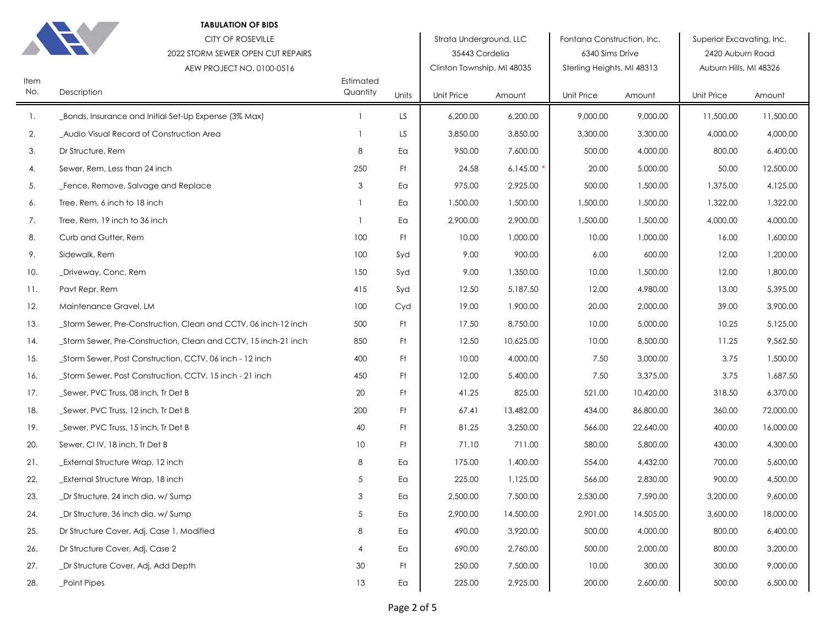| <b>TABULATION OF BIDS</b><br><b>CITY OF ROSEVILLE</b><br>2022 STORM SEWER OPEN CUT REPAIRS<br>AEW PROJECT NO. 0100-0516 |                                                                 |                       |       | Strata Underground, LLC<br>35443 Cordelia<br>Clinton Township, MI 48035 |           | Fontana Construction, Inc.<br>6340 Sims Drive<br>Sterling Heights, MI 48313 |           | Superior Excavating, Inc.<br>2420 Auburn Road<br>Auburn Hills, MI 48326 |           |
|-------------------------------------------------------------------------------------------------------------------------|-----------------------------------------------------------------|-----------------------|-------|-------------------------------------------------------------------------|-----------|-----------------------------------------------------------------------------|-----------|-------------------------------------------------------------------------|-----------|
| Item<br>No.                                                                                                             | Description                                                     | Estimated<br>Quantity | Units | Unit Price                                                              | Amount    | Unit Price                                                                  | Amount    | Unit Price                                                              | Amount    |
| 1.                                                                                                                      | _Bonds, Insurance and Initial Set-Up Expense (3% Max)           |                       | LS.   | 6,200.00                                                                | 6,200.00  | 9,000.00                                                                    | 9,000.00  | 11,500.00                                                               | 11,500.00 |
| 2.                                                                                                                      | _Audio Visual Record of Construction Area                       |                       | LS    | 3,850.00                                                                | 3,850.00  | 3,300.00                                                                    | 3,300.00  | 4,000.00                                                                | 4,000.00  |
| 3.                                                                                                                      | Dr Structure, Rem                                               | 8                     | Ea    | 950.00                                                                  | 7,600.00  | 500.00                                                                      | 4,000.00  | 800.00                                                                  | 6,400.00  |
| 4.                                                                                                                      | Sewer, Rem, Less than 24 inch                                   | 250                   | Ft.   | 24.58                                                                   | 6,145.00  | 20.00                                                                       | 5,000.00  | 50.00                                                                   | 12,500.00 |
| 5.                                                                                                                      | Fence, Remove, Salvage and Replace                              | 3                     | Ea    | 975.00                                                                  | 2,925.00  | 500.00                                                                      | 1,500.00  | 1,375.00                                                                | 4,125.00  |
| 6.                                                                                                                      | Tree, Rem, 6 inch to 18 inch                                    |                       | Ea    | 1,500.00                                                                | 1,500.00  | 1,500.00                                                                    | 1,500.00  | 1,322.00                                                                | 1,322.00  |
| 7.                                                                                                                      | Tree, Rem, 19 inch to 36 inch                                   |                       | Ea    | 2,900.00                                                                | 2,900.00  | 1,500.00                                                                    | 1,500.00  | 4,000.00                                                                | 4,000.00  |
| 8.                                                                                                                      | Curb and Gutter, Rem                                            | 100                   | Ft    | 10.00                                                                   | 1,000.00  | 10.00                                                                       | 1,000.00  | 16.00                                                                   | 1,600.00  |
| 9.                                                                                                                      | Sidewalk, Rem                                                   | 100                   | Syd   | 9.00                                                                    | 900.00    | 6.00                                                                        | 600.00    | 12.00                                                                   | 1,200.00  |
| 10.                                                                                                                     | _Driveway, Conc, Rem                                            | 150                   | Syd   | 9.00                                                                    | 1,350.00  | 10.00                                                                       | 1,500.00  | 12.00                                                                   | 1,800.00  |
| 11.                                                                                                                     | Pavt Repr, Rem                                                  | 415                   | Syd   | 12.50                                                                   | 5,187.50  | 12.00                                                                       | 4,980.00  | 13.00                                                                   | 5,395.00  |
| 12.                                                                                                                     | Maintenance Gravel, LM                                          | 100                   | Cyd   | 19.00                                                                   | 1,900.00  | 20.00                                                                       | 2,000.00  | 39.00                                                                   | 3,900.00  |
| 13.                                                                                                                     | _Storm Sewer, Pre-Construction, Clean and CCTV, 06 inch-12 inch | 500                   | Ft    | 17.50                                                                   | 8,750.00  | 10.00                                                                       | 5,000.00  | 10.25                                                                   | 5,125.00  |
| 14.                                                                                                                     | _Storm Sewer, Pre-Construction, Clean and CCTV, 15 inch-21 inch | 850                   | Ft    | 12.50                                                                   | 10,625.00 | 10.00                                                                       | 8,500.00  | 11.25                                                                   | 9,562.50  |
| 15.                                                                                                                     | _Storm Sewer, Post Construction, CCTV, 06 inch - 12 inch        | 400                   | Ft    | 10.00                                                                   | 4,000.00  | 7.50                                                                        | 3,000.00  | 3.75                                                                    | 1,500.00  |
| 16.                                                                                                                     | _Storm Sewer, Post Construction, CCTV, 15 inch - 21 inch        | 450                   | Ft    | 12.00                                                                   | 5,400.00  | 7.50                                                                        | 3,375.00  | 3.75                                                                    | 1,687.50  |
| 17.                                                                                                                     | _Sewer, PVC Truss, 08 inch, Tr Det B                            | 20                    | Ft    | 41.25                                                                   | 825.00    | 521.00                                                                      | 10,420.00 | 318.50                                                                  | 6,370.00  |
| 18.                                                                                                                     | _Sewer, PVC Truss, 12 inch, Tr Det B                            | 200                   | Ft    | 67.41                                                                   | 13,482.00 | 434.00                                                                      | 86,800.00 | 360.00                                                                  | 72,000.00 |
| 19.                                                                                                                     | Sewer, PVC Truss, 15 inch, Tr Det B                             | 40                    | Ft    | 81.25                                                                   | 3,250.00  | 566.00                                                                      | 22,640.00 | 400.00                                                                  | 16,000.00 |
| 20.                                                                                                                     | Sewer, CI IV, 18 inch, Tr Det B                                 | 10                    | Ft    | 71.10                                                                   | 711.00    | 580.00                                                                      | 5,800.00  | 430.00                                                                  | 4,300.00  |
| 21.                                                                                                                     | _External Structure Wrap, 12 inch                               | 8                     | Ea    | 175.00                                                                  | 1,400.00  | 554.00                                                                      | 4,432.00  | 700.00                                                                  | 5,600.00  |
| 22.                                                                                                                     | External Structure Wrap, 18 inch                                | 5                     | Eα    | 225.00                                                                  | 1,125.00  | 566.00                                                                      | 2,830.00  | 900.00                                                                  | 4,500.00  |
| 23.                                                                                                                     | Dr Structure, 24 inch dia. w/ Sump                              | 3                     | Ea    | 2,500.00                                                                | 7,500.00  | 2,530.00                                                                    | 7,590.00  | 3,200.00                                                                | 9,600.00  |
| 24.                                                                                                                     | Dr Structure, 36 inch dia, w/ Sump                              | 5                     | Ea    | 2,900.00                                                                | 14,500.00 | 2,901.00                                                                    | 14,505.00 | 3,600.00                                                                | 18,000.00 |
| 25.                                                                                                                     | Dr Structure Cover, Adj, Case 1, Modified                       | 8                     | Ea    | 490.00                                                                  | 3,920.00  | 500.00                                                                      | 4,000.00  | 800.00                                                                  | 6,400.00  |
| 26.                                                                                                                     | Dr Structure Cover, Adj, Case 2                                 | 4                     | Ea    | 690.00                                                                  | 2,760.00  | 500.00                                                                      | 2,000.00  | 800.00                                                                  | 3,200.00  |
| 27.                                                                                                                     | Dr Structure Cover, Adj, Add Depth                              | 30                    | Ft.   | 250.00                                                                  | 7,500.00  | 10.00                                                                       | 300.00    | 300.00                                                                  | 9,000.00  |
| 28.                                                                                                                     | _Point Pipes                                                    | 13                    | Ea    | 225.00                                                                  | 2,925.00  | 200.00                                                                      | 2,600.00  | 500.00                                                                  | 6,500.00  |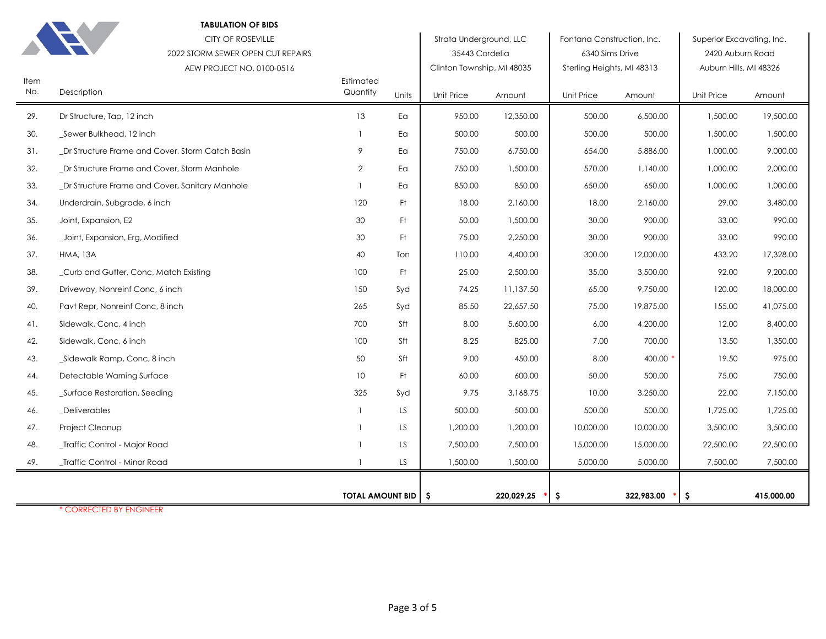|             | <b>TABULATION OF BIDS</b>                       |                         |       |                            |            |                            |            |                           |            |
|-------------|-------------------------------------------------|-------------------------|-------|----------------------------|------------|----------------------------|------------|---------------------------|------------|
|             | <b>CITY OF ROSEVILLE</b>                        |                         |       | Strata Underground, LLC    |            | Fontana Construction, Inc. |            | Superior Excavating, Inc. |            |
|             | 2022 STORM SEWER OPEN CUT REPAIRS               |                         |       | 35443 Cordelia             |            | 6340 Sims Drive            |            | 2420 Auburn Road          |            |
|             | AEW PROJECT NO. 0100-0516                       |                         |       | Clinton Township, MI 48035 |            | Sterling Heights, MI 48313 |            | Auburn Hills, MI 48326    |            |
| Item<br>No. | Description                                     | Estimated<br>Quantity   | Units | Unit Price                 | Amount     | Unit Price                 | Amount     | <b>Unit Price</b>         | Amount     |
| 29.         | Dr Structure, Tap, 12 inch                      | 13                      | Ea    | 950.00                     | 12,350.00  | 500.00                     | 6,500.00   | 1,500.00                  | 19,500.00  |
| 30.         | _Sewer Bulkhead, 12 inch                        |                         | Ea    | 500.00                     | 500.00     | 500.00                     | 500.00     | 1,500.00                  | 1,500.00   |
| 31.         | Dr Structure Frame and Cover, Storm Catch Basin | 9                       | Ea    | 750.00                     | 6,750.00   | 654.00                     | 5,886.00   | 1,000.00                  | 9,000.00   |
| 32.         | Dr Structure Frame and Cover, Storm Manhole     | $\overline{2}$          | Ea    | 750.00                     | 1,500.00   | 570.00                     | 1,140.00   | 1,000.00                  | 2,000.00   |
| 33.         | _Dr Structure Frame and Cover, Sanitary Manhole |                         | Ea    | 850.00                     | 850.00     | 650.00                     | 650.00     | 1,000.00                  | 1,000.00   |
| 34.         | Underdrain, Subgrade, 6 inch                    | 120                     | Ft.   | 18.00                      | 2,160.00   | 18.00                      | 2,160.00   | 29.00                     | 3,480.00   |
| 35.         | Joint, Expansion, E2                            | 30                      | Ft.   | 50.00                      | 1,500.00   | 30.00                      | 900.00     | 33.00                     | 990.00     |
| 36.         | _Joint, Expansion, Erg, Modified                | 30                      | -Ft   | 75.00                      | 2,250.00   | 30.00                      | 900.00     | 33.00                     | 990.00     |
| 37.         | <b>HMA, 13A</b>                                 | 40                      | Ton   | 110.00                     | 4,400.00   | 300.00                     | 12,000.00  | 433.20                    | 17,328.00  |
| 38.         | _Curb and Gutter, Conc, Match Existing          | 100                     | Ft.   | 25.00                      | 2,500.00   | 35.00                      | 3,500.00   | 92.00                     | 9,200.00   |
| 39.         | Driveway, Nonreinf Conc, 6 inch                 | 150                     | Syd   | 74.25                      | 11,137.50  | 65.00                      | 9,750.00   | 120.00                    | 18,000.00  |
| 40.         | Pavt Repr, Nonreinf Conc, 8 inch                | 265                     | Syd   | 85.50                      | 22,657.50  | 75.00                      | 19,875.00  | 155.00                    | 41,075.00  |
| 41.         | Sidewalk, Conc, 4 inch                          | 700                     | Sft   | 8.00                       | 5,600.00   | 6.00                       | 4,200.00   | 12.00                     | 8,400.00   |
| 42.         | Sidewalk, Conc, 6 inch                          | 100                     | Sft   | 8.25                       | 825.00     | 7.00                       | 700.00     | 13.50                     | 1,350.00   |
| 43.         | _Sidewalk Ramp, Conc, 8 inch                    | 50                      | Sft   | 9.00                       | 450.00     | 8.00                       | 400.00     | 19.50                     | 975.00     |
| 44.         | Detectable Warning Surface                      | 10                      | Ft.   | 60.00                      | 600.00     | 50.00                      | 500.00     | 75.00                     | 750.00     |
| 45.         | Surface Restoration, Seeding                    | 325                     | Syd   | 9.75                       | 3,168.75   | 10.00                      | 3,250.00   | 22.00                     | 7,150.00   |
| 46.         | _Deliverables                                   |                         | LS    | 500.00                     | 500.00     | 500.00                     | 500.00     | 1,725.00                  | 1,725.00   |
| 47.         | Project Cleanup                                 |                         | LS.   | 1,200.00                   | 1,200.00   | 10,000.00                  | 10,000.00  | 3,500.00                  | 3,500.00   |
| 48.         | Traffic Control - Major Road                    |                         | LS.   | 7,500.00                   | 7,500.00   | 15,000.00                  | 15,000.00  | 22,500.00                 | 22,500.00  |
| 49.         | _Traffic Control - Minor Road                   |                         | LS.   | 1,500.00                   | 1,500.00   | 5,000.00                   | 5,000.00   | 7,500.00                  | 7,500.00   |
|             |                                                 |                         |       |                            |            |                            |            |                           |            |
|             |                                                 | <b>TOTAL AMOUNT BID</b> |       | -\$                        | 220,029.25 | \$.                        | 322,983.00 | -\$                       | 415,000.00 |

\* CORRECTED BY ENGINEER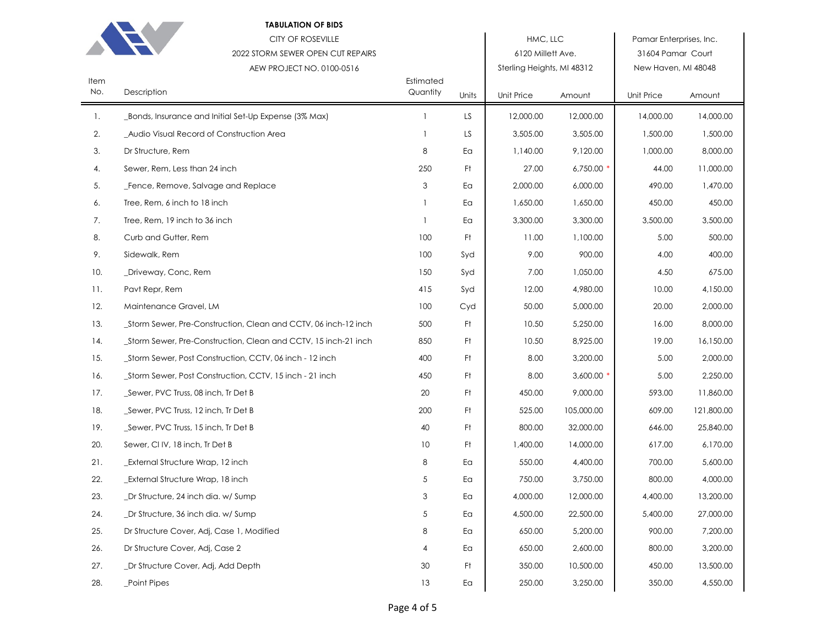

## **TABULATION OF BIDS**

|             | <b>CITY OF ROSEVILLE</b><br>2022 STORM SEWER OPEN CUT REPAIRS<br>AEW PROJECT NO. 0100-0516 |                       |       | HMC, LLC<br>6120 Millett Ave.<br>Sterling Heights, MI 48312 |             | Pamar Enterprises, Inc.<br>31604 Pamar Court<br>New Haven, MI 48048 |            |  |
|-------------|--------------------------------------------------------------------------------------------|-----------------------|-------|-------------------------------------------------------------|-------------|---------------------------------------------------------------------|------------|--|
| Item<br>No. | Description                                                                                | Estimated<br>Quantity | Units | Unit Price                                                  | Amount      | Unit Price                                                          | Amount     |  |
| -1.         | _Bonds, Insurance and Initial Set-Up Expense (3% Max)                                      |                       | LS    | 12,000.00                                                   | 12,000.00   | 14,000.00                                                           | 14,000.00  |  |
| 2.          | _Audio Visual Record of Construction Area                                                  |                       | LS    | 3,505.00                                                    | 3,505.00    | 1,500.00                                                            | 1,500.00   |  |
| 3.          | Dr Structure, Rem                                                                          | 8                     | Ea    | 1,140.00                                                    | 9,120.00    | 1,000.00                                                            | 8,000.00   |  |
| 4.          | Sewer, Rem, Less than 24 inch                                                              | 250                   | Ft    | 27.00                                                       | $6,750.00*$ | 44.00                                                               | 11,000.00  |  |
| 5.          | Fence, Remove, Salvage and Replace                                                         | 3                     | Ea    | 2,000.00                                                    | 6,000.00    | 490.00                                                              | 1,470.00   |  |
| 6.          | Tree, Rem, 6 inch to 18 inch                                                               |                       | Ea    | 1,650.00                                                    | 1,650.00    | 450.00                                                              | 450.00     |  |
| 7.          | Tree, Rem, 19 inch to 36 inch                                                              |                       | Ea    | 3,300.00                                                    | 3,300.00    | 3,500.00                                                            | 3,500.00   |  |
| 8.          | Curb and Gutter, Rem                                                                       | 100                   | Ft    | 11.00                                                       | 1,100.00    | 5.00                                                                | 500.00     |  |
| 9.          | Sidewalk, Rem                                                                              | 100                   | Syd   | 9.00                                                        | 900.00      | 4.00                                                                | 400.00     |  |
| 10.         | _Driveway, Conc, Rem                                                                       | 150                   | Syd   | 7.00                                                        | 1,050.00    | 4.50                                                                | 675.00     |  |
| 11.         | Pavt Repr, Rem                                                                             | 415                   | Syd   | 12.00                                                       | 4,980.00    | 10.00                                                               | 4,150.00   |  |
| 12.         | Maintenance Gravel, LM                                                                     | 100                   | Cyd   | 50.00                                                       | 5,000.00    | 20.00                                                               | 2,000.00   |  |
| 13.         | _Storm Sewer, Pre-Construction, Clean and CCTV, 06 inch-12 inch                            | 500                   | Ft    | 10.50                                                       | 5,250.00    | 16.00                                                               | 8,000.00   |  |
| 14.         | _Storm Sewer, Pre-Construction, Clean and CCTV, 15 inch-21 inch                            | 850                   | Ft    | 10.50                                                       | 8,925.00    | 19.00                                                               | 16,150.00  |  |
| 15.         | _Storm Sewer, Post Construction, CCTV, 06 inch - 12 inch                                   | 400                   | Ft    | 8.00                                                        | 3,200.00    | 5.00                                                                | 2,000.00   |  |
| 16.         | _Storm Sewer, Post Construction, CCTV, 15 inch - 21 inch                                   | 450                   | Ft    | 8.00                                                        | $3,600.00*$ | 5.00                                                                | 2,250.00   |  |
| 17.         | _Sewer, PVC Truss, 08 inch, Tr Det B                                                       | 20                    | Ft    | 450.00                                                      | 9,000.00    | 593.00                                                              | 11,860.00  |  |
| 18.         | _Sewer, PVC Truss, 12 inch, Tr Det B                                                       | 200                   | Ft    | 525.00                                                      | 105,000.00  | 609.00                                                              | 121,800.00 |  |
| 19.         | _Sewer, PVC Truss, 15 inch, Tr Det B                                                       | 40                    | Ft    | 800.00                                                      | 32,000.00   | 646.00                                                              | 25,840.00  |  |
| 20.         | Sewer, CI IV, 18 inch, Tr Det B                                                            | 10                    | Ft    | 1,400.00                                                    | 14,000.00   | 617.00                                                              | 6,170.00   |  |
| 21.         | External Structure Wrap, 12 inch                                                           | 8                     | Ea    | 550.00                                                      | 4,400.00    | 700.00                                                              | 5,600.00   |  |
| 22.         | External Structure Wrap, 18 inch                                                           | 5                     | Ea    | 750.00                                                      | 3,750.00    | 800.00                                                              | 4,000.00   |  |
| 23.         | _Dr Structure, 24 inch dia. w/ Sump                                                        | 3                     | Ea    | 4,000.00                                                    | 12,000.00   | 4,400.00                                                            | 13,200.00  |  |
| 24.         | _Dr Structure, 36 inch dia. w/ Sump                                                        | 5                     | Ea    | 4,500.00                                                    | 22,500.00   | 5,400.00                                                            | 27,000.00  |  |
| 25.         | Dr Structure Cover, Adj, Case 1, Modified                                                  | 8                     | Ea    | 650.00                                                      | 5,200.00    | 900.00                                                              | 7,200.00   |  |
| 26.         | Dr Structure Cover, Adj, Case 2                                                            | 4                     | Ea    | 650.00                                                      | 2,600.00    | 800.00                                                              | 3,200.00   |  |
| 27.         | _Dr Structure Cover, Adj, Add Depth                                                        | 30                    | Ft    | 350.00                                                      | 10,500.00   | 450.00                                                              | 13,500.00  |  |
| 28.         | Point Pipes                                                                                | 13                    | Ea    | 250.00                                                      | 3,250.00    | 350.00                                                              | 4,550.00   |  |